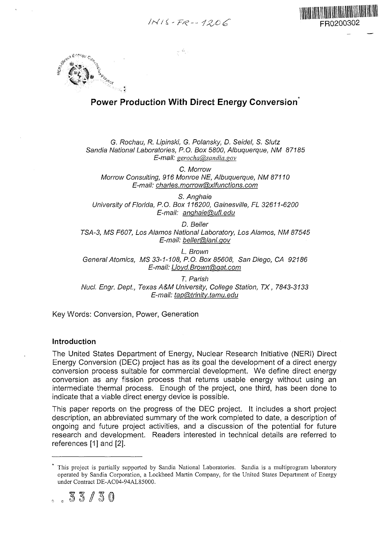$1N/15 - FR - 1206$  FR0200302





# **Power Production With Direct Energy Conversion**

G. Rochau, R. Lipinski, G. Polansky, D. Seidel, S. Slutz Sandia National Laboratories, P.O. Box 5800, Albuquerque, NM 87185 *E-mail: serocha&sandia. sov*

C. Morrow Morrow Consulting, 916 Monroe NE, Albuquerque, NM 87110 E-mail: charles.morrow@xlfunctions.com

S. Anghaie University of Florida, P.O. Box 116200, Gainesville, FL 32611-6200 E-mail: anghaie@ufl.edu

D. Seller TSA-3, MS F607, Los Alamos National Laboratory, Los Alamos, NM 87545 E-mail: beller@Janl.gov

L. Brown General Atomics, MS 33-1-108, P.O. Box 85608, San Diego, CA 92186 E-mail: Lloyd. Brown@gat.com

T. Parish Nucl. Engr. Dept, Texas A&M University, College Station, TX, 7843-3133 E-mail: tap@trinity.tamu.edu

Key Words: Conversion, Power, Generation

#### **Introduction**

The United States Department of Energy, Nuclear Research Initiative (NERI) Direct Energy Conversion (DEC) project has as its goal the development of a direct energy conversion process suitable for commercial development. We define direct energy conversion as any fission process that returns usable energy without using an intermediate thermal process. Enough of the project, one third, has been done to indicate that a viable direct energy device is possible.

This paper reports on the progress of the DEC project. It includes a short project description, an abbreviated summary of the work completed to date, a description of ongoing and future project activities, and a discussion of the potential for future research and development. Readers interested in technical details are referred to references [1] and [2].

.53/3 0

This project is partially supported by Sandia National Laboratories. Sandia is a multiprogram laboratory operated by Sandia Corporation, a Lockheed Martin Company, for the United States Department of Energy under Contract DE-AC04-94AL85000.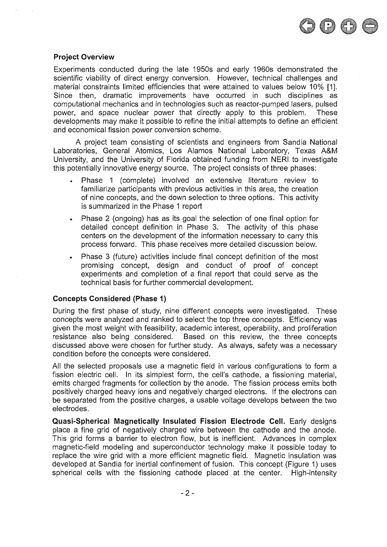

#### **Project Overview**

Experiments conducted during the late 1950s and early 1960s demonstrated the scientific viability of direct energy conversion. However, technical challenges and material constraints limited efficiencies that were attained to values below 10% [1]. Since then, dramatic improvements have occurred in such disciplines as computational mechanics and in technologies such as reactor-pumped lasers, pulsed power, and space nuclear power that directly apply to this problem. These developments may make it possible to refine the initial attempts to define an efficient and economical fission power conversion scheme.

A project team consisting of scientists and engineers from Sandia National Laboratories, General Atomics, Los Alamos National Laboratory, Texas A&M University, and the University of Florida obtained funding from NERI to investigate this potentially innovative energy source. The project consists of three phases:

- . Phase 1 (complete) involved an extensive literature review to familiarize participants with previous activities in this area, the creation of nine concepts, and the down selection to three options. This activity is summarized in the Phase 1 report
- . Phase 2 (ongoing) has as its goal the selection of one final option for detailed concept definition in Phase 3. The activity of this phase centers on the development of the information necessary to carry this process forward. This phase receives more detailed discussion below.
- . Phase 3 (future) activities include final concept definition of the most promising concept, design and conduct of proof of concept experiments and completion of a final report that could serve as the technical basis for further commercial development.

### **Concepts Considered (Phase 1)**

During the first phase of study, nine different concepts were investigated. These concepts were analyzed and ranked to select the top three concepts. Efficiency was given the most weight with feasibility, academic interest, operability, and proliferation resistance also being considered. Based on this review, the three concepts discussed above were chosen for further study. As always, safety was a necessary condition before the concepts were considered.

All the selected proposals use a magnetic field in various configurations to form a fission electric cell. In its simplest form, the cell's cathode, a fissioning material, emits charged fragments for collection by the anode. The fission process emits both positively charged heavy ions and negatively charged electrons. If the electrons can be separated from the positive charges, a usable voltage develops between the two electrodes.

**Quasi-Spherical Magnetically Insulated Fission Electrode Cell.** Early designs place a fine grid of negatively charged wire between the cathode and the anode. This grid forms a barrier to electron flow, but is inefficient. Advances in complex magnetic-field modeling and superconductor technology make it possible today to replace the wire grid with a more efficient magnetic field. Magnetic insulation was developed at Sandia for inertial confinement of fusion. This concept (Figure 1) uses spherical cells with the fissioning cathode placed at the center. High-intensity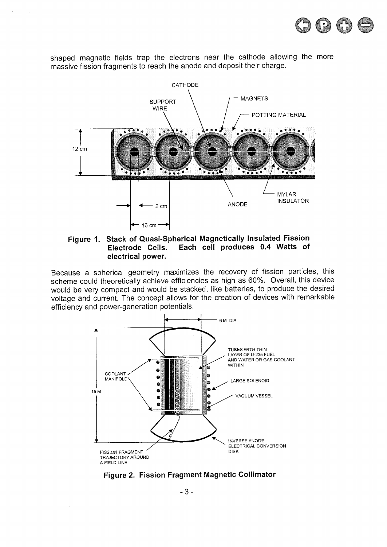

shaped magnetic fields trap the electrons near the cathode allowing the more massive fission fragments to reach the anode and deposit their charge.

 $\mathbf{r}$ 



**Figure 1. Stack of Quasi-Spherical Magnetically Insulated Fission Electrode Cells. Each cell produces 0.4 Watts of electrical power.**

Because a spherical geometry maximizes the recovery of fission particles, this scheme could theoretically achieve efficiencies as high as 60%. Overall, this device would be very compact and would be stacked, like batteries, to produce the desired voltage and current. The concept allows for the creation of devices with remarkable efficiency and power-generation potentials.



**Figure 2. Fission Fragment Magnetic Collimator**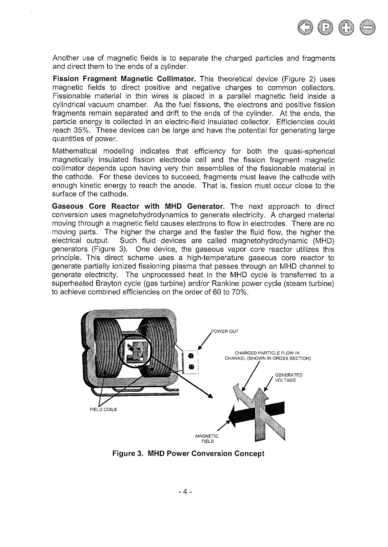

Another use of magnetic fields is to separate the charged particles and fragments and direct them to the ends of a cylinder.

**Fission Fragment Magnetic Coliimator.** This theoretical device (Figure 2) uses magnetic fields to direct positive and negative charges to common collectors. Fissionable material in thin wires is placed in a parallel magnetic field inside a cylindrical vacuum chamber. As the fuel fissions, the electrons and positive fission fragments remain separated and drift to the ends of the cylinder. At the ends, the particle energy is collected in an electric-field insulated collector. Efficiencies could reach 35%. These devices can be large and have the potential for generating large quantities of power.

Mathematical modeling indicates that efficiency for both the quasi-spherical magnetically insulated fission electrode cell and the fission fragment magnetic coliimator depends upon having very thin assemblies of the fissionable material in the cathode. For these devices to succeed, fragments must leave the cathode with enough kinetic energy to reach the anode. That is, fission must occur close to the surface of the cathode.

**Gaseous Core Reactor with MHD Generator.** The next approach to direct conversion uses magnetohydrodynamics to generate electricity. A charged material moving through a magnetic field causes electrons to flow in electrodes. There are no moving parts. The higher the charge and the faster the fluid flow, the higher the electrical output. Such fluid devices are called magnetohydrodynamic (MHD) generators (Figure 3). One device, the gaseous vapor core reactor utilizes this principle. This direct scheme uses a high-temperature gaseous core reactor to generate partially ionized fissioning plasma that passes through an MHD channel to generate electricity. The unprocessed heat in the MHD cycle is transferred to a superheated Brayton cycle (gas turbine) and/or Rankine power cycle (steam turbine) to achieve combined efficiencies on the order of 60 to 70%.



**Figure 3. MHD Power Conversion Concept**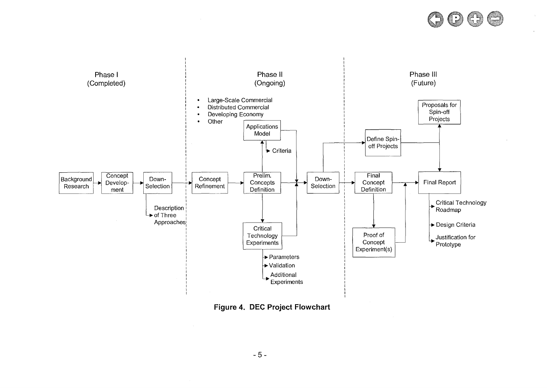



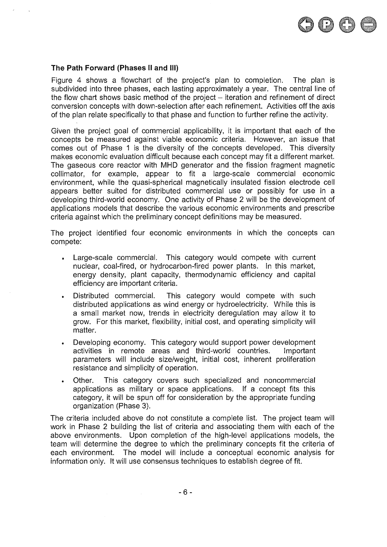

#### **The Path Forward (Phases II and III)**

Figure 4 shows a flowchart of the project's plan to completion. The plan is subdivided into three phases, each lasting approximately a year. The central line of the flow chart shows basic method of the project  $-$  iteration and refinement of direct conversion concepts with down-selection after each refinement. Activities off the axis of the plan relate specifically to that phase and function to further refine the activity.

Given the project goal of commercial applicability, it is important that each of the concepts be measured against viable economic criteria. However, an issue that comes out of Phase 1 is the diversity of the concepts developed. This diversity makes economic evaluation difficult because each concept may fit a different market. The gaseous core reactor with MHD generator and the fission fragment magnetic collimator, for example, appear to fit a large-scale commercial economic environment, while the quasi-spherical magnetically insulated fission electrode cell appears better suited for distributed commercial use or possibly for use in a developing third-world economy. One activity of Phase 2 will be the development of applications models that describe the various economic environments and prescribe criteria against which the preliminary concept definitions may be measured.

The project identified four economic environments in which the concepts can compete:

- . Large-scale commercial. This category would compete with current nuclear, coal-fired, or hydrocarbon-fired power plants. In this market, energy density, plant capacity, thermodynamic efficiency and capital efficiency are important criteria.
- . Distributed commercial. This category would compete with such distributed applications as wind energy or hydroelectricity. While this is a small market now, trends in electricity deregulation may allow it to grow. For this market, flexibility, initial cost, and operating simplicity will matter.
- . Developing economy. This category would support power development activities in remote areas and third-world countries. Important parameters will include size/weight, initial cost, inherent proliferation resistance and simplicity of operation.
- . Other. This category covers such specialized and noncommercial applications as military or space applications. If a concept fits this category, it will be spun off for consideration by the appropriate funding organization (Phase 3).

The criteria included above do not constitute a complete list. The project team will work in Phase 2 building the list of criteria and associating them with each of the above environments. Upon completion of the high-level applications models, the team will determine the degree to which the preliminary concepts fit the criteria of each environment. The model will include a conceptual economic analysis for information only. It will use consensus techniques to establish degree of fit.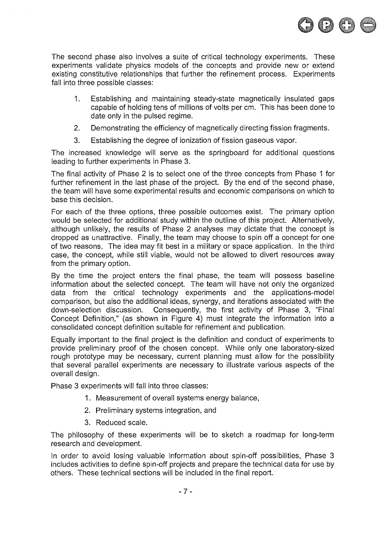

The second phase also involves a suite of critical technology experiments. These experiments validate physics models of the concepts and provide new or extend existing constitutive relationships that further the refinement process. Experiments fall into three possible classes:

- 1. Establishing and maintaining steady-state magnetically insulated gaps capable of holding tens of millions of volts per cm. This has been done to date only in the pulsed regime.
- 2. Demonstrating the efficiency of magnetically directing fission fragments.
- 3. Establishing the degree of ionization of fission gaseous vapor.

The increased knowledge will serve as the springboard for additional questions leading to further experiments in Phase 3.

The final activity of Phase 2 is to select one of the three concepts from Phase 1 for further refinement in the last phase of the project. By the end of the second phase, the team will have some experimental results and economic comparisons on which to base this decision.

For each of the three options, three possible outcomes exist. The primary option would be selected for additional study within the outline of this project. Alternatively, although unlikely, the results of Phase 2 analyses may dictate that the concept is dropped as unattractive. Finally, the team may choose to spin off a concept for one of two reasons. The idea may fit best in a military or space application. In the third case, the concept, while still viable, would not be allowed to divert resources away from the primary option.

By the time the project enters the final phase, the team will possess baseline information about the selected concept. The team will have not only the organized data from the critical technology experiments and the applications-model comparison, but also the additional ideas, synergy, and iterations associated with the down-selection discussion. Consequently, the first activity of Phase 3, "Final Concept Definition," (as shown in Figure 4) must integrate the information into a consolidated concept definition suitable for refinement and publication.

Equally important to the final project is the definition and conduct of experiments to provide preliminary proof of the chosen concept. While only one laboratory-sized rough prototype may be necessary, current planning must allow for the possibility that several parallel experiments are necessary to illustrate various aspects of the overall design.

Phase 3 experiments will fall into three classes:

- 1. Measurement of overall systems energy balance,
- 2. Preliminary systems integration, and
- 3. Reduced scale.

The philosophy of these experiments will be to sketch a roadmap for long-term research and development.

In order to avoid losing valuable information about spin-off possibilities, Phase 3 includes activities to define spin-off projects and prepare the technical data for use by others. These technical sections will be included in the final report.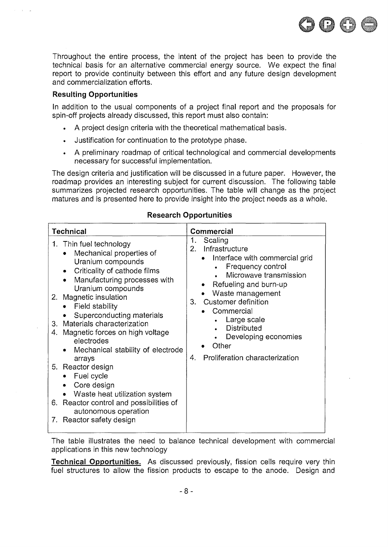

Throughout the entire process, the intent of the project has been to provide the technical basis for an alternative commercial energy source. We expect the final report to provide continuity between this effort and any future design development and commercialization efforts.

## **Resulting Opportunities**

 $\sim$ 

In addition to the usual components of a project final report and the proposals for spin-off projects already discussed, this report must also contain:

- A project design criteria with the theoretical mathematical basis.
- Justification for continuation to the prototype phase.
- . A preliminary roadmap of critical technological and commercial developments necessary for successful implementation.

The design criteria and justification will be discussed in a future paper. However, the roadmap provides an interesting subject for current discussion. The following table summarizes projected research opportunities. The table will change as the project matures and is presented here to provide insight into the project needs as a whole.

| <b>Technical</b>                                                                                                                                                                                                                                                                                                                                                                                                                                                                                                | Commercial                                                                                                                                                                                                                                                                                                                                                |
|-----------------------------------------------------------------------------------------------------------------------------------------------------------------------------------------------------------------------------------------------------------------------------------------------------------------------------------------------------------------------------------------------------------------------------------------------------------------------------------------------------------------|-----------------------------------------------------------------------------------------------------------------------------------------------------------------------------------------------------------------------------------------------------------------------------------------------------------------------------------------------------------|
| 1. Thin fuel technology<br>Mechanical properties of<br>Uranium compounds<br>Criticality of cathode films<br>Manufacturing processes with<br>Uranium compounds<br>2. Magnetic insulation<br>Field stability<br>Superconducting materials<br>Materials characterization<br>3.<br>Magnetic forces on high voltage<br>4.<br>electrodes<br>Mechanical stability of electrode<br>arrays<br>5. Reactor design<br>Fuel cycle<br>Core design<br>Waste heat utilization system<br>6. Reactor control and possibilities of | Scaling<br>1.<br>Infrastructure<br>$2 -$<br>Interface with commercial grid<br>$\bullet$<br>Frequency control<br>Microwave transmission<br>Refueling and burn-up<br>Waste management<br>Customer definition<br>3.<br>Commercial<br>$\bullet$<br>Large scale<br><b>Distributed</b><br>Developing economies<br>Other<br>Proliferation characterization<br>4. |
| autonomous operation<br>7. Reactor safety design                                                                                                                                                                                                                                                                                                                                                                                                                                                                |                                                                                                                                                                                                                                                                                                                                                           |

## **Research Opportunities**

The table illustrates the need to balance technical development with commercial applications in this new technology

**Technical Opportunities.** As discussed previously, fission cells require very thin fuel structures to allow the fission products to escape to the anode. Design and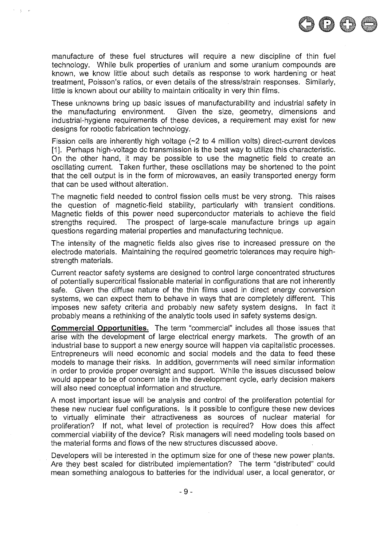

 $\gamma = \gamma$  .

These unknowns bring up basic issues of manufacturability and industrial safety in the manufacturing environment. Given the size, geometry, dimensions and industrial-hygiene requirements of these devices, a requirement may exist for new designs for robotic fabrication technology.

Fission cells are inherently high voltage (~2 to 4 million volts) direct-current devices [1]. Perhaps high-voltage dc transmission is the best way to utilize this characteristic. On the other hand, it may be possible to use the magnetic field to create an oscillating current. Taken further, these oscillations may be shortened to the point that the cell output is in the form of microwaves, an easily transported energy form that can be used without alteration.

The magnetic field needed to control fission cells must be very strong. This raises the question of magnetic-field stability, particularly with transient conditions. Magnetic fields of this power need superconductor materials to achieve the field strengths required. The prospect of large-scale manufacture brings up again questions regarding material properties and manufacturing technique.

The intensity of the magnetic fields also gives rise to increased pressure on the electrode materials. Maintaining the required geometric tolerances may require highstrength materials.

Current reactor safety systems are designed to control large concentrated structures of potentially supercritical fissionable material in configurations that are not inherently safe. Given the diffuse nature of the thin films used in direct energy conversion systems, we can expect them to behave in ways that are completely different. This imposes new safety criteria and probably new safety system designs. In fact it probably means a rethinking of the analytic tools used in safety systems design.

**Commercial Opportunities.** The term "commercial" includes all those issues that arise with the development of large electrical energy markets. The growth of an industrial base to support a new energy source will happen via capitalistic processes. Entrepreneurs will need economic and social models and the data to feed these models to manage their risks. In addition, governments will need similar information in order to provide proper oversight and support. While the issues discussed below would appear to be of concern late in the development cycle, early decision makers will also need conceptual information and structure.

A most important issue will be analysis and control of the proliferation potential for these new nuclear fuel configurations. Is it possible to configure these new devices to virtually eliminate their attractiveness as sources of nuclear material for proliferation? If not, what level of protection is required? How does this affect commercial viability of the device? Risk managers will need modeling tools based on the material forms and flows of the new structures discussed above.

Developers will be interested in the optimum size for one of these new power plants. Are they best scaled for distributed implementation? The term "distributed" could mean something analogous to batteries for the individual user, a local generator, or